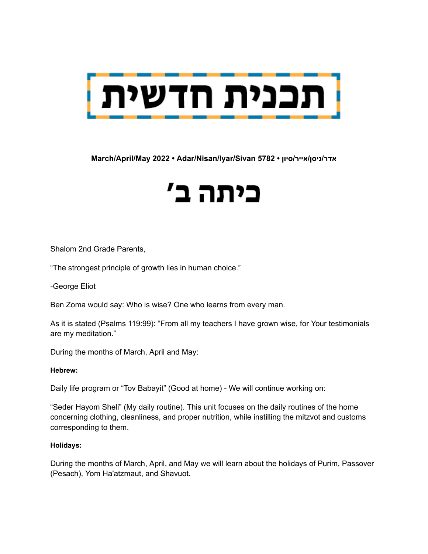

### **March/April/May 2022 • Adar/Nisan/Iyar/Sivan 5782 • סיון/אייר/ניסן/אדר**

# כיתה ב'

Shalom 2nd Grade Parents,

"The strongest principle of growth lies in human choice."

-George Eliot

Ben Zoma would say: Who is wise? One who learns from every man.

As it is stated (Psalms 119:99): "From all my teachers I have grown wise, for Your testimonials are my meditation."

During the months of March, April and May:

#### **Hebrew:**

Daily life program or "Tov Babayit" (Good at home) - We will continue working on:

"Seder Hayom Sheli" (My daily routine). This unit focuses on the daily routines of the home concerning clothing, cleanliness, and proper nutrition, while instilling the mitzvot and customs corresponding to them.

#### **Holidays:**

During the months of March, April, and May we will learn about the holidays of Purim, Passover (Pesach), Yom Ha'atzmaut, and Shavuot.